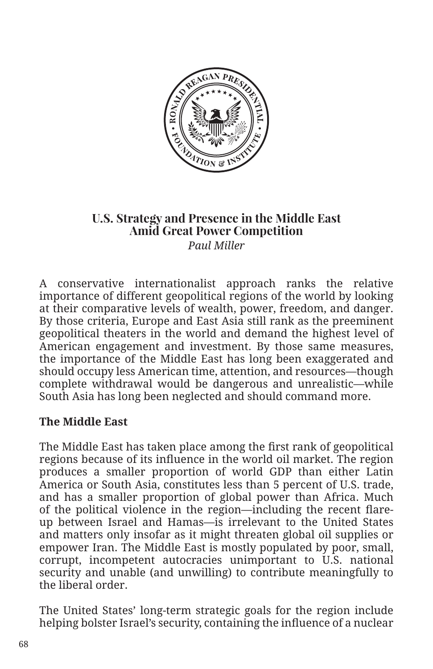

## **U.S. Strategy and Presence in the Middle East Amid Great Power Competition**  *Paul Miller*

A conservative internationalist approach ranks the relative importance of different geopolitical regions of the world by looking at their comparative levels of wealth, power, freedom, and danger. By those criteria, Europe and East Asia still rank as the preeminent geopolitical theaters in the world and demand the highest level of American engagement and investment. By those same measures, the importance of the Middle East has long been exaggerated and should occupy less American time, attention, and resources—though complete withdrawal would be dangerous and unrealistic—while South Asia has long been neglected and should command more.

## **The Middle East**

The Middle East has taken place among the first rank of geopolitical regions because of its influence in the world oil market. The region produces a smaller proportion of world GDP than either Latin America or South Asia, constitutes less than 5 percent of U.S. trade, and has a smaller proportion of global power than Africa. Much of the political violence in the region—including the recent flareup between Israel and Hamas—is irrelevant to the United States and matters only insofar as it might threaten global oil supplies or empower Iran. The Middle East is mostly populated by poor, small, corrupt, incompetent autocracies unimportant to U.S. national security and unable (and unwilling) to contribute meaningfully to the liberal order.

The United States' long-term strategic goals for the region include helping bolster Israel's security, containing the influence of a nuclear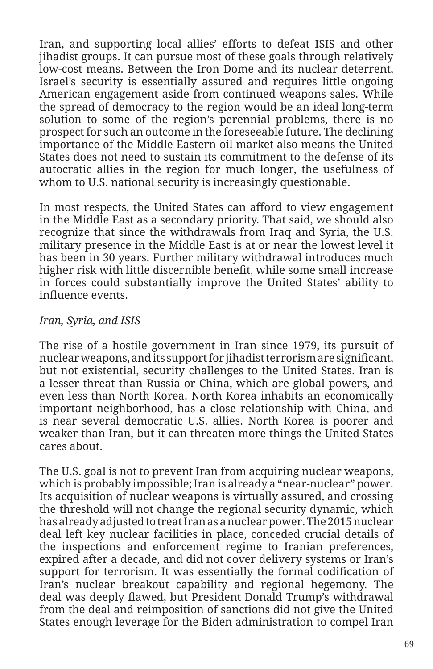Iran, and supporting local allies' efforts to defeat ISIS and other jihadist groups. It can pursue most of these goals through relatively low-cost means. Between the Iron Dome and its nuclear deterrent, Israel's security is essentially assured and requires little ongoing American engagement aside from continued weapons sales. While the spread of democracy to the region would be an ideal long-term solution to some of the region's perennial problems, there is no prospect for such an outcome in the foreseeable future. The declining importance of the Middle Eastern oil market also means the United States does not need to sustain its commitment to the defense of its autocratic allies in the region for much longer, the usefulness of whom to U.S. national security is increasingly questionable.

In most respects, the United States can afford to view engagement in the Middle East as a secondary priority. That said, we should also recognize that since the withdrawals from Iraq and Syria, the U.S. military presence in the Middle East is at or near the lowest level it has been in 30 years. Further military withdrawal introduces much higher risk with little discernible benefit, while some small increase in forces could substantially improve the United States' ability to influence events.

## *Iran, Syria, and ISIS*

The rise of a hostile government in Iran since 1979, its pursuit of nuclear weapons, and its support for jihadist terrorism are significant, but not existential, security challenges to the United States. Iran is a lesser threat than Russia or China, which are global powers, and even less than North Korea. North Korea inhabits an economically important neighborhood, has a close relationship with China, and is near several democratic U.S. allies. North Korea is poorer and weaker than Iran, but it can threaten more things the United States cares about.

The U.S. goal is not to prevent Iran from acquiring nuclear weapons, which is probably impossible; Iran is already a "near-nuclear" power. Its acquisition of nuclear weapons is virtually assured, and crossing the threshold will not change the regional security dynamic, which has already adjusted to treat Iran as a nuclear power. The 2015 nuclear deal left key nuclear facilities in place, conceded crucial details of the inspections and enforcement regime to Iranian preferences, expired after a decade, and did not cover delivery systems or Iran's support for terrorism. It was essentially the formal codification of Iran's nuclear breakout capability and regional hegemony. The deal was deeply flawed, but President Donald Trump's withdrawal from the deal and reimposition of sanctions did not give the United States enough leverage for the Biden administration to compel Iran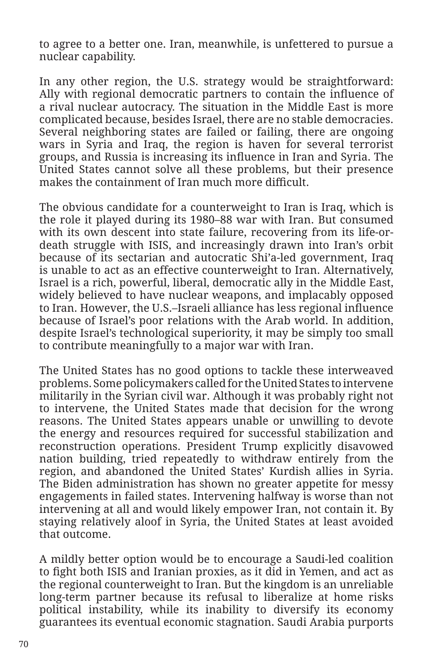to agree to a better one. Iran, meanwhile, is unfettered to pursue a nuclear capability.

In any other region, the U.S. strategy would be straightforward: Ally with regional democratic partners to contain the influence of a rival nuclear autocracy. The situation in the Middle East is more complicated because, besides Israel, there are no stable democracies. Several neighboring states are failed or failing, there are ongoing wars in Syria and Iraq, the region is haven for several terrorist groups, and Russia is increasing its influence in Iran and Syria. The United States cannot solve all these problems, but their presence makes the containment of Iran much more difficult.

The obvious candidate for a counterweight to Iran is Iraq, which is the role it played during its 1980–88 war with Iran. But consumed with its own descent into state failure, recovering from its life-ordeath struggle with ISIS, and increasingly drawn into Iran's orbit because of its sectarian and autocratic Shi'a-led government, Iraq is unable to act as an effective counterweight to Iran. Alternatively, Israel is a rich, powerful, liberal, democratic ally in the Middle East, widely believed to have nuclear weapons, and implacably opposed to Iran. However, the U.S.–Israeli alliance has less regional influence because of Israel's poor relations with the Arab world. In addition, despite Israel's technological superiority, it may be simply too small to contribute meaningfully to a major war with Iran.

The United States has no good options to tackle these interweaved problems. Some policymakers called for the United States to intervene militarily in the Syrian civil war. Although it was probably right not to intervene, the United States made that decision for the wrong reasons. The United States appears unable or unwilling to devote the energy and resources required for successful stabilization and reconstruction operations. President Trump explicitly disavowed nation building, tried repeatedly to withdraw entirely from the region, and abandoned the United States' Kurdish allies in Syria. The Biden administration has shown no greater appetite for messy engagements in failed states. Intervening halfway is worse than not intervening at all and would likely empower Iran, not contain it. By staying relatively aloof in Syria, the United States at least avoided that outcome.

A mildly better option would be to encourage a Saudi-led coalition to fight both ISIS and Iranian proxies, as it did in Yemen, and act as the regional counterweight to Iran. But the kingdom is an unreliable long-term partner because its refusal to liberalize at home risks political instability, while its inability to diversify its economy guarantees its eventual economic stagnation. Saudi Arabia purports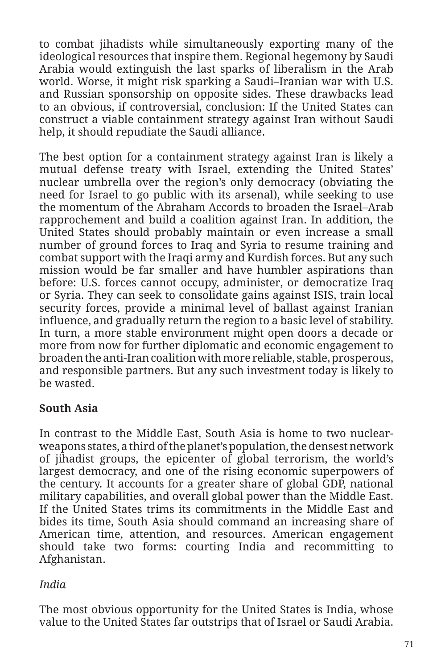to combat jihadists while simultaneously exporting many of the ideological resources that inspire them. Regional hegemony by Saudi Arabia would extinguish the last sparks of liberalism in the Arab world. Worse, it might risk sparking a Saudi–Iranian war with U.S. and Russian sponsorship on opposite sides. These drawbacks lead to an obvious, if controversial, conclusion: If the United States can construct a viable containment strategy against Iran without Saudi help, it should repudiate the Saudi alliance.

The best option for a containment strategy against Iran is likely a mutual defense treaty with Israel, extending the United States' nuclear umbrella over the region's only democracy (obviating the need for Israel to go public with its arsenal), while seeking to use the momentum of the Abraham Accords to broaden the Israel–Arab rapprochement and build a coalition against Iran. In addition, the United States should probably maintain or even increase a small number of ground forces to Iraq and Syria to resume training and combat support with the Iraqi army and Kurdish forces. But any such mission would be far smaller and have humbler aspirations than before: U.S. forces cannot occupy, administer, or democratize Iraq or Syria. They can seek to consolidate gains against ISIS, train local security forces, provide a minimal level of ballast against Iranian influence, and gradually return the region to a basic level of stability. In turn, a more stable environment might open doors a decade or more from now for further diplomatic and economic engagement to broaden the anti-Iran coalition with more reliable, stable, prosperous, and responsible partners. But any such investment today is likely to be wasted.

## **South Asia**

In contrast to the Middle East, South Asia is home to two nuclearweapons states, a third of the planet's population, the densest network of jihadist groups, the epicenter of global terrorism, the world's largest democracy, and one of the rising economic superpowers of the century. It accounts for a greater share of global GDP, national military capabilities, and overall global power than the Middle East. If the United States trims its commitments in the Middle East and bides its time, South Asia should command an increasing share of American time, attention, and resources. American engagement should take two forms: courting India and recommitting to Afghanistan.

## *India*

The most obvious opportunity for the United States is India, whose value to the United States far outstrips that of Israel or Saudi Arabia.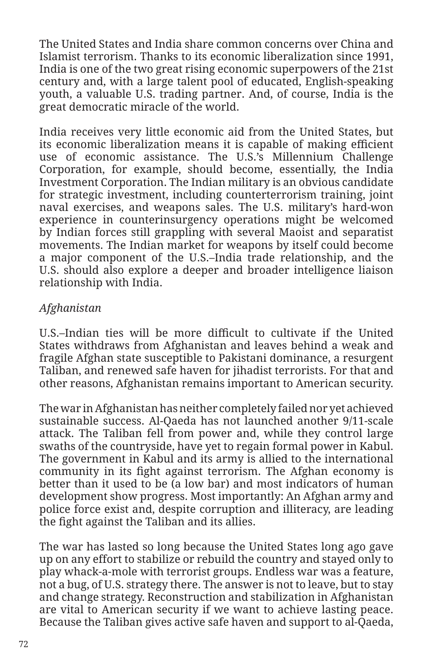The United States and India share common concerns over China and Islamist terrorism. Thanks to its economic liberalization since 1991, India is one of the two great rising economic superpowers of the 21st century and, with a large talent pool of educated, English-speaking youth, a valuable U.S. trading partner. And, of course, India is the great democratic miracle of the world.

India receives very little economic aid from the United States, but its economic liberalization means it is capable of making efficient use of economic assistance. The U.S.'s Millennium Challenge Corporation, for example, should become, essentially, the India Investment Corporation. The Indian military is an obvious candidate for strategic investment, including counterterrorism training, joint naval exercises, and weapons sales. The U.S. military's hard-won experience in counterinsurgency operations might be welcomed by Indian forces still grappling with several Maoist and separatist movements. The Indian market for weapons by itself could become a major component of the U.S.–India trade relationship, and the U.S. should also explore a deeper and broader intelligence liaison relationship with India.

# *Afghanistan*

U.S.–Indian ties will be more difficult to cultivate if the United States withdraws from Afghanistan and leaves behind a weak and fragile Afghan state susceptible to Pakistani dominance, a resurgent Taliban, and renewed safe haven for jihadist terrorists. For that and other reasons, Afghanistan remains important to American security.

The war in Afghanistan has neither completely failed nor yet achieved sustainable success. Al-Qaeda has not launched another 9/11-scale attack. The Taliban fell from power and, while they control large swaths of the countryside, have yet to regain formal power in Kabul. The government in Kabul and its army is allied to the international community in its fight against terrorism. The Afghan economy is better than it used to be (a low bar) and most indicators of human development show progress. Most importantly: An Afghan army and police force exist and, despite corruption and illiteracy, are leading the fight against the Taliban and its allies.

The war has lasted so long because the United States long ago gave up on any effort to stabilize or rebuild the country and stayed only to play whack-a-mole with terrorist groups. Endless war was a feature, not a bug, of U.S. strategy there. The answer is not to leave, but to stay and change strategy. Reconstruction and stabilization in Afghanistan are vital to American security if we want to achieve lasting peace. Because the Taliban gives active safe haven and support to al-Qaeda,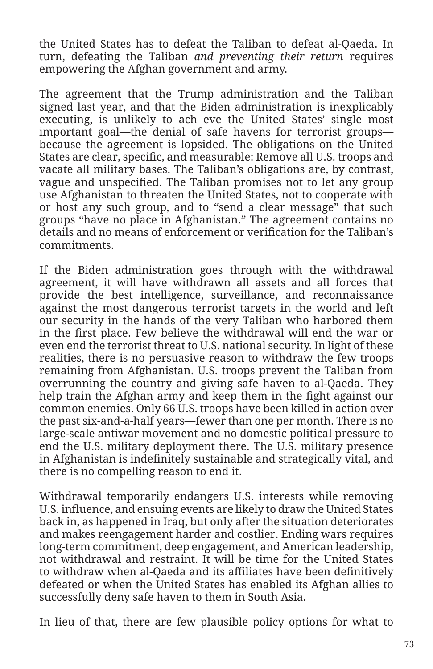the United States has to defeat the Taliban to defeat al-Qaeda. In turn, defeating the Taliban *and preventing their return* requires empowering the Afghan government and army.

The agreement that the Trump administration and the Taliban signed last year, and that the Biden administration is inexplicably executing, is unlikely to ach eve the United States' single most important goal—the denial of safe havens for terrorist groups because the agreement is lopsided. The obligations on the United States are clear, specific, and measurable: Remove all U.S. troops and vacate all military bases. The Taliban's obligations are, by contrast, vague and unspecified. The Taliban promises not to let any group use Afghanistan to threaten the United States, not to cooperate with or host any such group, and to "send a clear message" that such groups "have no place in Afghanistan." The agreement contains no details and no means of enforcement or verification for the Taliban's commitments.

If the Biden administration goes through with the withdrawal agreement, it will have withdrawn all assets and all forces that provide the best intelligence, surveillance, and reconnaissance against the most dangerous terrorist targets in the world and left our security in the hands of the very Taliban who harbored them in the first place. Few believe the withdrawal will end the war or even end the terrorist threat to U.S. national security. In light of these realities, there is no persuasive reason to withdraw the few troops remaining from Afghanistan. U.S. troops prevent the Taliban from overrunning the country and giving safe haven to al-Qaeda. They help train the Afghan army and keep them in the fight against our common enemies. Only 66 U.S. troops have been killed in action over the past six-and-a-half years—fewer than one per month. There is no large-scale antiwar movement and no domestic political pressure to end the U.S. military deployment there. The U.S. military presence in Afghanistan is indefinitely sustainable and strategically vital, and there is no compelling reason to end it.

Withdrawal temporarily endangers U.S. interests while removing U.S. influence, and ensuing events are likely to draw the United States back in, as happened in Iraq, but only after the situation deteriorates and makes reengagement harder and costlier. Ending wars requires long-term commitment, deep engagement, and American leadership, not withdrawal and restraint. It will be time for the United States to withdraw when al-Qaeda and its affiliates have been definitively defeated or when the United States has enabled its Afghan allies to successfully deny safe haven to them in South Asia.

In lieu of that, there are few plausible policy options for what to